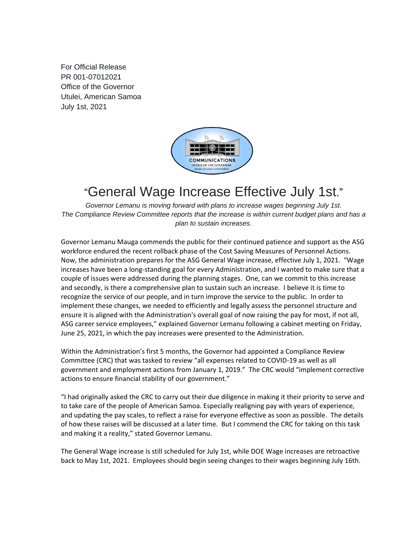For Official Release PR 001-07012021 Office of the Governor Utulei, American Samoa July 1st, 2021



## "General Wage Increase Effective July 1st."

*Governor Lemanu is moving forward with plans to increase wages beginning July 1st. The Compliance Review Committee reports that the increase is within current budget plans and has a plan to sustain increases.* 

Governor Lemanu Mauga commends the public for their continued patience and support as the ASG workforce endured the recent rollback phase of the Cost Saving Measures of Personnel Actions. Now, the administration prepares for the ASG General Wage increase, effective July 1, 2021. "Wage increases have been a long-standing goal for every Administration, and I wanted to make sure that a couple of issues were addressed during the planning stages. One, can we commit to this increase and secondly, is there a comprehensive plan to sustain such an increase. I believe it is time to recognize the service of our people, and in turn improve the service to the public. In order to implement these changes, we needed to efficiently and legally assess the personnel structure and ensure it is aligned with the Administration's overall goal of now raising the pay for most, if not all, ASG career service employees," explained Governor Lemanu following a cabinet meeting on Friday, June 25, 2021, in which the pay increases were presented to the Administration.

Within the Administration's first 5 months, the Governor had appointed a Compliance Review Committee (CRC) that was tasked to review "all expenses related to COVID-19 as well as all government and employment actions from January 1, 2019." The CRC would "implement corrective actions to ensure financial stability of our government."

"I had originally asked the CRC to carry out their due diligence in making it their priority to serve and to take care of the people of American Samoa. Especially realigning pay with years of experience, and updating the pay scales, to reflect a raise for everyone effective as soon as possible. The details of how these raises will be discussed at a later time. But I commend the CRC for taking on this task and making it a reality," stated Governor Lemanu.

The General Wage increase is still scheduled for July 1st, while DOE Wage increases are retroactive back to May 1st, 2021. Employees should begin seeing changes to their wages beginning July 16th.